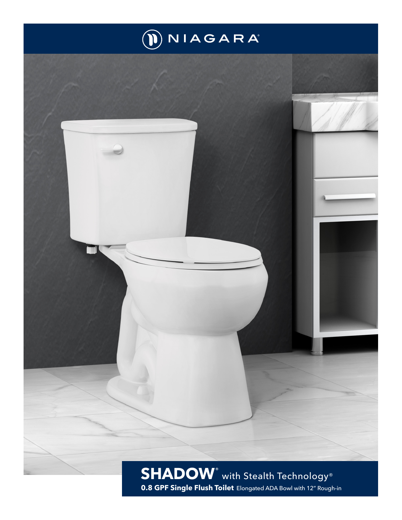

## **[SHADOW](IMG_Main-Image)**® with Stealth Technology® **0[.8](DBF_Flush_Rate) GPF [Single](DBF_Flush-Type) Flush Toilet** Elongated ADA Bowl with 12" Rough-in